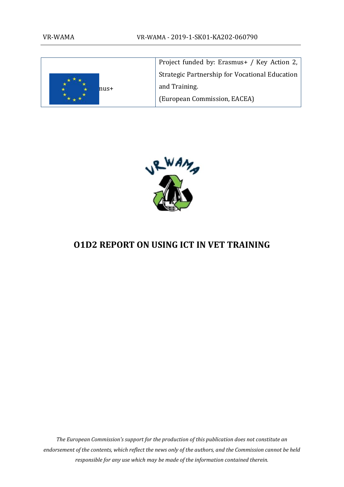

Project funded by: Erasmus+ / Key Action 2, Strategic Partnership for Vocational Education and Training. (European Commission, EACEA)



# <span id="page-0-0"></span>**O1D2 REPORT ON USING ICT IN VET TRAINING**

*The European Commission's support for the production of this publication does not constitute an endorsement of the contents, which reflect the news only of the authors, and the Commission cannot be held responsible for any use which may be made of the information contained therein.*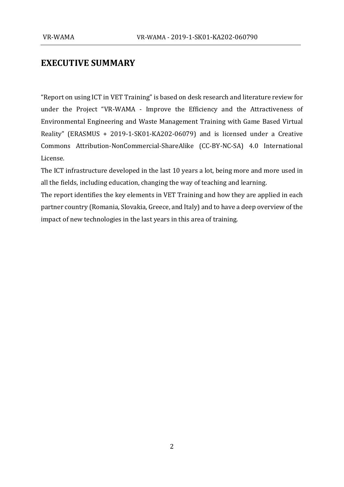## **EXECUTIVE SUMMARY**

"Report on using ICT in VET Training" is based on desk research and literature review for under the Project "VR-WAMA - Improve the Efficiency and the Attractiveness of Environmental Engineering and Waste Management Training with Game Based Virtual Reality" (ERASMUS + 2019-1-SK01-KA202-06079) and is licensed under a Creative Commons Attribution-NonCommercial-ShareAlike (CC-BY-NC-SA) 4.0 International License.

The ICT infrastructure developed in the last 10 years a lot, being more and more used in all the fields, including education, changing the way of teaching and learning.

The report identifies the key elements in VET Training and how they are applied in each partner country (Romania, Slovakia, Greece, and Italy) and to have a deep overview of the impact of new technologies in the last years in this area of training.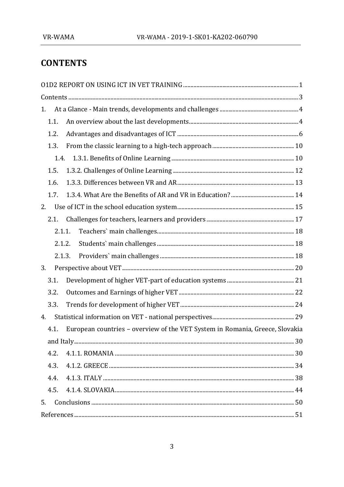# <span id="page-2-0"></span>**CONTENTS**

| 1.     |                                                                              |  |
|--------|------------------------------------------------------------------------------|--|
| 1.1.   |                                                                              |  |
| 1.2.   |                                                                              |  |
| 1.3.   |                                                                              |  |
| 1.4.   |                                                                              |  |
| 1.5.   |                                                                              |  |
| 1.6.   |                                                                              |  |
| 1.7.   |                                                                              |  |
| 2.     |                                                                              |  |
| 2.1.   |                                                                              |  |
| 2.1.1. |                                                                              |  |
| 2.1.2. |                                                                              |  |
| 2.1.3. |                                                                              |  |
| 3.     |                                                                              |  |
| 3.1.   |                                                                              |  |
| 3.2.   |                                                                              |  |
| 3.3.   |                                                                              |  |
| 4.     |                                                                              |  |
| 4.1.   | European countries - overview of the VET System in Romania, Greece, Slovakia |  |
|        |                                                                              |  |
| 4.2.   |                                                                              |  |
| 4.3.   |                                                                              |  |
| 4.4.   |                                                                              |  |
| 4.5.   |                                                                              |  |
| 5.     |                                                                              |  |
|        |                                                                              |  |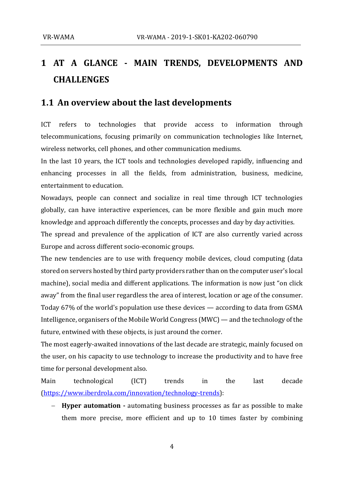# <span id="page-3-0"></span>**1 AT A GLANCE - MAIN TRENDS, DEVELOPMENTS AND CHALLENGES**

### <span id="page-3-1"></span>**1.1 An overview about the last developments**

ICT refers to technologies that provide access to information through telecommunications, focusing primarily on communication technologies like Internet, wireless networks, cell phones, and other communication mediums.

In the last 10 years, the ICT tools and technologies developed rapidly, influencing and enhancing processes in all the fields, from administration, business, medicine, entertainment to education.

Nowadays, people can connect and socialize in real time through ICT technologies globally, can have interactive experiences, can be more flexible and gain much more knowledge and approach differently the concepts, processes and day by day activities.

The spread and prevalence of the application of ICT are also currently varied across Europe and across different socio-economic groups.

The new tendencies are to use with frequency mobile devices, cloud computing (data stored on servers hosted by third party providers rather than on the computer user's local machine), social media and different applications. The information is now just "on click away" from the final user regardless the area of interest, location or age of the consumer. Today 67% of the world's population use these devices — according to data from GSMA Intelligence, organisers of the Mobile World Congress (MWC) — and the technology of the future, entwined with these objects, is just around the corner.

The most eagerly-awaited innovations of the last decade are strategic, mainly focused on the user, on his capacity to use technology to increase the productivity and to have free time for personal development also.

Main technological (ICT) trends in the last decade [\(https://www.iberdrola.com/innovation/technology-trends\)](https://www.iberdrola.com/innovation/technology-trends):

− **Hyper automation -** automating business processes as far as possible to make them more precise, more efficient and up to 10 times faster by combining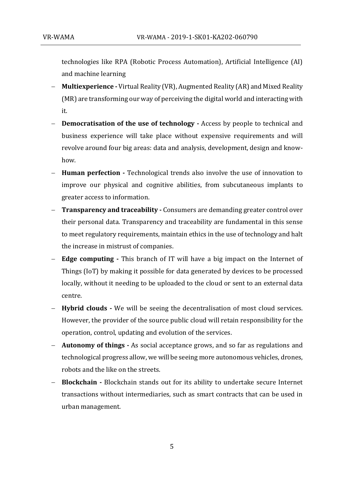technologies like RPA (Robotic Process Automation), Artificial Intelligence (AI) and machine learning

- − **Multiexperience -** Virtual Reality (VR), Augmented Reality (AR) and Mixed Reality (MR) are transforming our way of perceiving the digital world and interacting with it.
- **Democratisation of the use of technology -** Access by people to technical and business experience will take place without expensive requirements and will revolve around four big areas: data and analysis, development, design and knowhow.
- − **Human perfection -** Technological trends also involve the use of innovation to improve our physical and cognitive abilities, from subcutaneous implants to greater access to information.
- − **Transparency and traceability -** Consumers are demanding greater control over their personal data. Transparency and traceability are fundamental in this sense to meet regulatory requirements, maintain ethics in the use of technology and halt the increase in mistrust of companies.
- − **Edge computing -** This branch of IT will have a big impact on the Internet of Things (IoT) by making it possible for data generated by devices to be processed locally, without it needing to be uploaded to the cloud or sent to an external data centre.
- − **Hybrid clouds -** We will be seeing the decentralisation of most cloud services. However, the provider of the source public cloud will retain responsibility for the operation, control, updating and evolution of the services.
- − **Autonomy of things -** As social acceptance grows, and so far as regulations and technological progress allow, we will be seeing more autonomous vehicles, drones, robots and the like on the streets.
- − **Blockchain -** Blockchain stands out for its ability to undertake secure Internet transactions without intermediaries, such as smart contracts that can be used in urban management.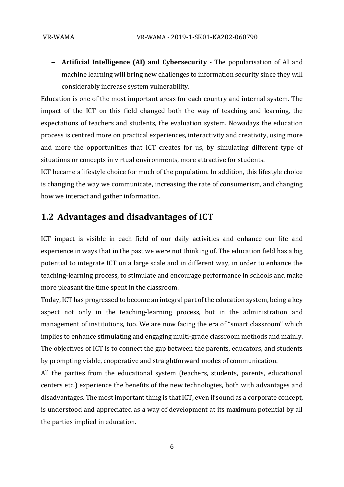− **Artificial Intelligence (AI) and Cybersecurity -** The popularisation of AI and machine learning will bring new challenges to information security since they will considerably increase system vulnerability.

Education is one of the most important areas for each country and internal system. The impact of the ICT on this field changed both the way of teaching and learning, the expectations of teachers and students, the evaluation system. Nowadays the education process is centred more on practical experiences, interactivity and creativity, using more and more the opportunities that ICT creates for us, by simulating different type of situations or concepts in virtual environments, more attractive for students.

ICT became a lifestyle choice for much of the population. In addition, this lifestyle choice is changing the way we communicate, increasing the rate of consumerism, and changing how we interact and gather information.

### <span id="page-5-0"></span>**1.2 Advantages and disadvantages of ICT**

ICT impact is visible in each field of our daily activities and enhance our life and experience in ways that in the past we were not thinking of. The education field has a big potential to integrate ICT on a large scale and in different way, in order to enhance the teaching-learning process, to stimulate and encourage performance in schools and make more pleasant the time spent in the classroom.

Today, ICT has progressed to become an integral part of the education system, being a key aspect not only in the teaching-learning process, but in the administration and management of institutions, too. We are now facing the era of "smart classroom" which implies to enhance stimulating and engaging multi-grade classroom methods and mainly. The objectives of ICT is to connect the gap between the parents, educators, and students by prompting viable, cooperative and straightforward modes of communication.

All the parties from the educational system (teachers, students, parents, educational centers etc.) experience the benefits of the new technologies, both with advantages and disadvantages. The most important thing is that ICT, even if sound as a corporate concept, is understood and appreciated as a way of development at its maximum potential by all the parties implied in education.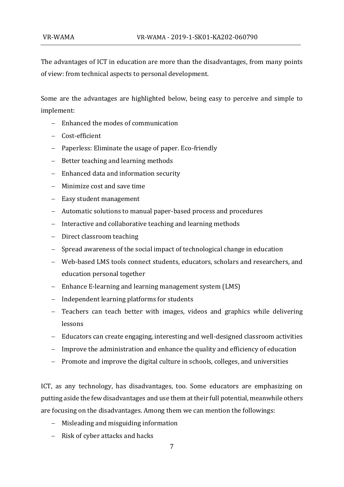The advantages of ICT in education are more than the disadvantages, from many points of view: from technical aspects to personal development.

Some are the advantages are highlighted below, being easy to perceive and simple to implement:

- − Enhanced the modes of communication
- − Cost-efficient
- − Paperless: Eliminate the usage of paper. Eco-friendly
- − Better teaching and learning methods
- − Enhanced data and information security
- − Minimize cost and save time
- − Easy student management
- − Automatic solutions to manual paper-based process and procedures
- − Interactive and collaborative teaching and learning methods
- − Direct classroom teaching
- − Spread awareness of the social impact of technological change in education
- − Web-based LMS tools connect students, educators, scholars and researchers, and education personal together
- − Enhance E-learning and learning management system (LMS)
- − Independent learning platforms for students
- − Teachers can teach better with images, videos and graphics while delivering lessons
- − Educators can create engaging, interesting and well-designed classroom activities
- − Improve the administration and enhance the quality and efficiency of education
- − Promote and improve the digital culture in schools, colleges, and universities

ICT, as any technology, has disadvantages, too. Some educators are emphasizing on putting aside the few disadvantages and use them at their full potential, meanwhile others are focusing on the disadvantages. Among them we can mention the followings:

- − Misleading and misguiding information
- − Risk of cyber attacks and hacks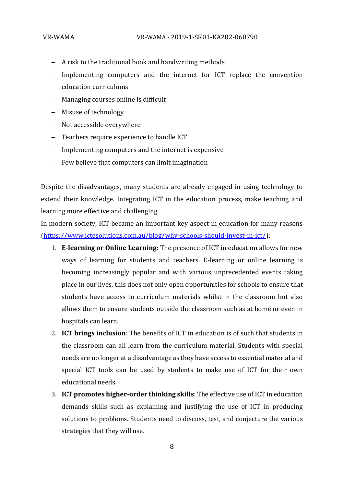- − A risk to the traditional book and handwriting methods
- − Implementing computers and the internet for ICT replace the convention education curriculums
- − Managing courses online is difficult
- − Misuse of technology
- − Not accessible everywhere
- − Teachers require experience to handle ICT
- − Implementing computers and the internet is expensive
- − Few believe that computers can limit imagination

Despite the disadvantages, many students are already engaged in using technology to extend their knowledge. Integrating ICT in the education process, make teaching and learning more effective and challenging.

In modern society, ICT became an important key aspect in education for many reasons [\(https://www.ictesolutions.com.au/blog/why-schools-should-invest-in-ict/\)](https://www.ictesolutions.com.au/blog/why-schools-should-invest-in-ict/):

- 1. **E-learning or Online Learning:** The presence of ICT in education allows for new ways of learning for students and teachers. E-learning or online learning is becoming increasingly popular and with various unprecedented events taking place in our lives, this does not only open opportunities for schools to ensure that students have access to curriculum materials whilst in the classroom but also allows them to ensure students outside the classroom such as at home or even in hospitals can learn.
- 2. **ICT brings inclusion**: The benefits of ICT in education is of such that students in the classroom can all learn from the curriculum material. Students with special needs are no longer at a disadvantage as they have access to essential material and special ICT tools can be used by students to make use of ICT for their own educational needs.
- 3. **ICT promotes higher-order thinking skills**: The effective use of ICT in education demands skills such as explaining and justifying the use of ICT in producing solutions to problems. Students need to discuss, test, and conjecture the various strategies that they will use.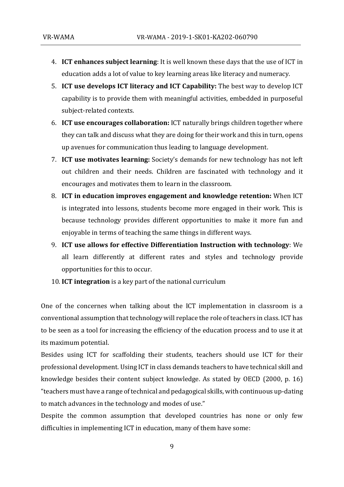- 4. **ICT enhances subject learning**: It is well known these days that the use of ICT in education adds a lot of value to key learning areas like literacy and numeracy.
- 5. **ICT use develops ICT literacy and ICT Capability:** The best way to develop ICT capability is to provide them with meaningful activities, embedded in purposeful subject-related contexts.
- 6. **ICT use encourages collaboration:** ICT naturally brings children together where they can talk and discuss what they are doing for their work and this in turn, opens up avenues for communication thus leading to language development.
- 7. **ICT use motivates learning:** Society's demands for new technology has not left out children and their needs. Children are fascinated with technology and it encourages and motivates them to learn in the classroom.
- 8. **ICT in education improves engagement and knowledge retention:** When ICT is integrated into lessons, students become more engaged in their work. This is because technology provides different opportunities to make it more fun and enjoyable in terms of teaching the same things in different ways.
- 9. **ICT use allows for effective Differentiation Instruction with technology**: We all learn differently at different rates and styles and technology provide opportunities for this to occur.
- 10. **ICT integration** is a key part of the national curriculum

One of the concernes when talking about the ICT implementation in classroom is a conventional assumption that technology will replace the role of teachers in class. ICT has to be seen as a tool for increasing the efficiency of the education process and to use it at its maximum potential.

Besides using ICT for scaffolding their students, teachers should use ICT for their professional development. Using ICT in class demands teachers to have technical skill and knowledge besides their content subject knowledge. As stated by OECD (2000, p. 16) "teachers must have a range of technical and pedagogical skills, with continuous up-dating to match advances in the technology and modes of use."

Despite the common assumption that developed countries has none or only few difficulties in implementing ICT in education, many of them have some: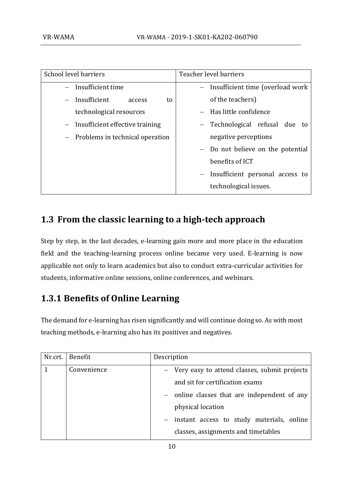| School level barriers               | Teacher level barriers           |
|-------------------------------------|----------------------------------|
| - Insufficient time                 | Insufficient time (overload work |
| $-$ Insufficient<br>to<br>access    | of the teachers)                 |
| technological resources             | - Has little confidence          |
| $-$ Insufficient effective training | Technological refusal due to     |
| - Problems in technical operation   | negative perceptions             |
|                                     | Do not believe on the potential  |
|                                     | benefits of ICT                  |
|                                     | Insufficient personal access to  |
|                                     | technological issues.            |

# <span id="page-9-0"></span>**1.3 From the classic learning to a high-tech approach**

Step by step, in the last decades, e-learning gain more and more place in the education field and the teaching-learning process online became very used. E-learning is now applicable not only to learn academics but also to conduct extra-curricular activities for students, informative online sessions, online conferences, and webinars.

# <span id="page-9-1"></span>**1.3.1 Benefits of Online Learning**

The demand for e-learning has risen significantly and will continue doing so. As with most teaching methods, e-learning also has its positives and negatives.

| Nr.crt. | Benefit     | Description                                      |
|---------|-------------|--------------------------------------------------|
|         | Convenience | - Very easy to attend classes, submit projects   |
|         |             | and sit for certification exams                  |
|         |             | - online classes that are independent of any     |
|         |             | physical location                                |
|         |             | instant access to study materials, online<br>$-$ |
|         |             | classes, assignments and timetables              |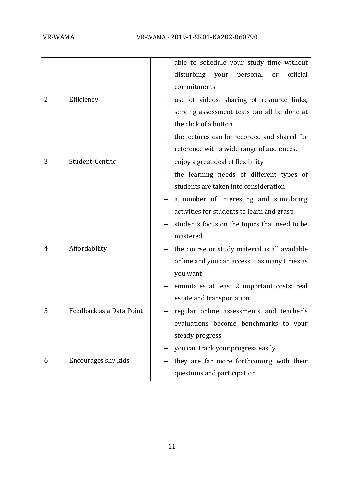|   |                          | able to schedule your study time without<br>disturbing<br>official<br>your<br>personal<br>or<br>commitments                                                                                                                                                                  |
|---|--------------------------|------------------------------------------------------------------------------------------------------------------------------------------------------------------------------------------------------------------------------------------------------------------------------|
| 2 | Efficiency               | use of videos, sharing of resource links,<br>serving assessment tests can all be done at<br>the click of a button<br>the lectures can be recorded and shared for<br>reference with a wide range of audiences.                                                                |
| 3 | Student-Centric          | enjoy a great deal of flexibility<br>the learning needs of different types of<br>students are taken into consideration<br>a number of interesting and stimulating<br>activities for students to learn and grasp<br>students focus on the topics that need to be<br>mastered. |
| 4 | Affordability            | the course or study material is all available<br>online and you can access it as many times as<br>you want<br>eminitates at least 2 important costs: real<br>estate and transportation                                                                                       |
| 5 | Feedback as a Data Point | regular online assessments and teacher's<br>evaluations become benchmarks to your<br>steady progress<br>you can track your progress easily                                                                                                                                   |
| 6 | Encourages shy kids      | they are far more forthcoming with their<br>questions and participation                                                                                                                                                                                                      |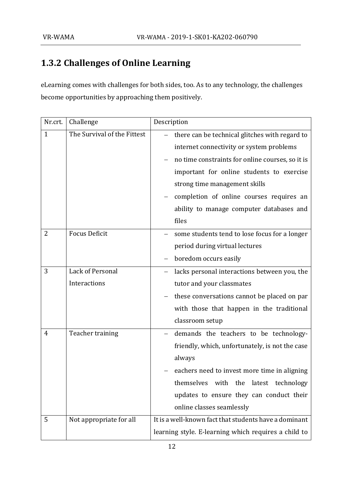# <span id="page-11-0"></span>**1.3.2 Challenges of Online Learning**

eLearning comes with challenges for both sides, too. As to any technology, the challenges become opportunities by approaching them positively.

| Nr.crt.      | Challenge                        | Description                                                                                                                                                                                                                                                                                                                   |
|--------------|----------------------------------|-------------------------------------------------------------------------------------------------------------------------------------------------------------------------------------------------------------------------------------------------------------------------------------------------------------------------------|
| $\mathbf{1}$ | The Survival of the Fittest      | there can be technical glitches with regard to<br>internet connectivity or system problems<br>no time constraints for online courses, so it is<br>important for online students to exercise<br>strong time management skills<br>completion of online courses requires an<br>ability to manage computer databases and<br>files |
| 2            | <b>Focus Deficit</b>             | some students tend to lose focus for a longer<br>period during virtual lectures<br>boredom occurs easily                                                                                                                                                                                                                      |
| 3            | Lack of Personal<br>Interactions | lacks personal interactions between you, the<br>tutor and your classmates<br>these conversations cannot be placed on par<br>with those that happen in the traditional<br>classroom setup                                                                                                                                      |
| 4            | Teacher training                 | demands the teachers to be technology-<br>friendly, which, unfortunately, is not the case<br>always<br>eachers need to invest more time in aligning<br>themselves with the latest technology<br>updates to ensure they can conduct their<br>online classes seamlessly                                                         |
| 5            | Not appropriate for all          | It is a well-known fact that students have a dominant<br>learning style. E-learning which requires a child to                                                                                                                                                                                                                 |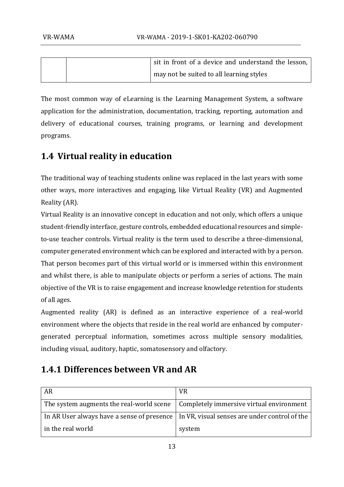|  | sit in front of a device and understand the lesson, |
|--|-----------------------------------------------------|
|  | may not be suited to all learning styles            |

The most common way of eLearning is the Learning Management System, a software application for the administration, documentation, tracking, reporting, automation and delivery of educational courses, training programs, or learning and development programs.

# **1.4 Virtual reality in education**

The traditional way of teaching students online was replaced in the last years with some other ways, more interactives and engaging, like Virtual Reality (VR) and Augmented Reality (AR).

Virtual Reality is an innovative concept in education and not only, which offers a unique student-friendly interface, gesture controls, embedded educational resources and simpleto-use teacher controls. Virtual reality is the term used to describe a three-dimensional, computer generated environment which can be explored and interacted with by a person. That person becomes part of this virtual world or is immersed within this environment and whilst there, is able to manipulate objects or perform a series of actions. The main objective of the VR is to raise engagement and increase knowledge retention for students of all ages.

Augmented reality (AR) is defined as an interactive experience of a real-world environment where the objects that reside in the real world are enhanced by computergenerated perceptual information, sometimes across multiple sensory modalities, including visual, auditory, haptic, somatosensory and olfactory.

# <span id="page-12-0"></span>**1.4.1 Differences between VR and AR**

| <b>AR</b>                                                                                     | <b>VR</b>                                                                                  |
|-----------------------------------------------------------------------------------------------|--------------------------------------------------------------------------------------------|
| The system augments the real-world scene $\parallel$ Completely immersive virtual environment |                                                                                            |
|                                                                                               | In AR User always have a sense of presence   In VR, visual senses are under control of the |
| in the real world                                                                             | system                                                                                     |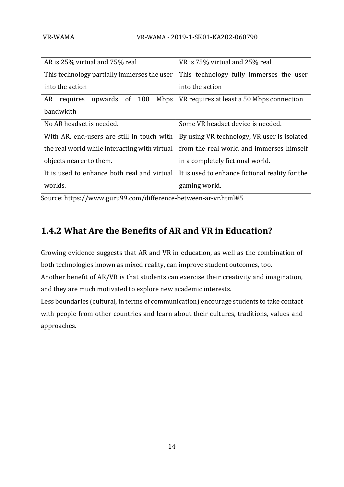| AR is 25% virtual and 75% real                | VR is 75% virtual and 25% real                  |
|-----------------------------------------------|-------------------------------------------------|
| This technology partially immerses the user   | This technology fully immerses the user         |
| into the action                               | into the action                                 |
| Mbps<br>AR<br>upwards of 100<br>requires      | VR requires at least a 50 Mbps connection       |
| bandwidth                                     |                                                 |
| No AR headset is needed.                      | Some VR headset device is needed.               |
| With AR, end-users are still in touch with    | By using VR technology, VR user is isolated     |
| the real world while interacting with virtual | from the real world and immerses himself        |
| objects nearer to them.                       | in a completely fictional world.                |
| It is used to enhance both real and virtual   | It is used to enhance fictional reality for the |
| worlds.                                       | gaming world.                                   |

Source: https://www.guru99.com/difference-between-ar-vr.html#5

# <span id="page-13-0"></span>**1.4.2 What Are the Benefits of AR and VR in Education?**

Growing evidence suggests that AR and VR in education, as well as the combination of both technologies known as mixed reality, can improve student outcomes, too.

Another benefit of AR/VR is that students can exercise their creativity and imagination, and they are much motivated to explore new academic interests.

Less boundaries (cultural, in terms of communication) encourage students to take contact with people from other countries and learn about their cultures, traditions, values and approaches.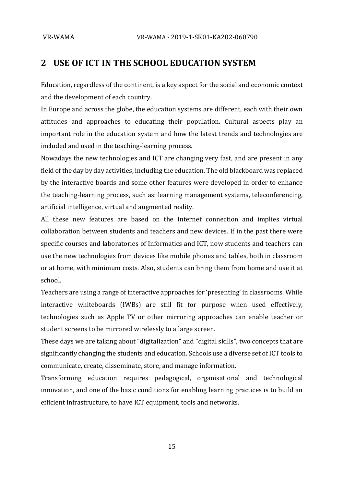# <span id="page-14-0"></span>**2 USE OF ICT IN THE SCHOOL EDUCATION SYSTEM**

Education, regardless of the continent, is a key aspect for the social and economic context and the development of each country.

In Europe and across the globe, the education systems are different, each with their own attitudes and approaches to educating their population. Cultural aspects play an important role in the education system and how the latest trends and technologies are included and used in the teaching-learning process.

Nowadays the new technologies and ICT are changing very fast, and are present in any field of the day by day activities, including the education. The old blackboard was replaced by the interactive boards and some other features were developed in order to enhance the teaching-learning process, such as: learning management systems, teleconferencing, artificial intelligence, virtual and augmented reality.

All these new features are based on the Internet connection and implies virtual collaboration between students and teachers and new devices. If in the past there were specific courses and laboratories of Informatics and ICT, now students and teachers can use the new technologies from devices like mobile phones and tables, both in classroom or at home, with minimum costs. Also, students can bring them from home and use it at school.

Teachers are using a range of interactive approaches for 'presenting' in classrooms. While interactive whiteboards (IWBs) are still fit for purpose when used effectively, technologies such as Apple TV or other mirroring approaches can enable teacher or student screens to be mirrored wirelessly to a large screen.

These days we are talking about "digitalization" and "digital skills", two concepts that are significantly changing the students and education. Schools use a diverse set of ICT tools to communicate, create, disseminate, store, and manage information.

Transforming education requires pedagogical, organisational and technological innovation, and one of the basic conditions for enabling learning practices is to build an efficient infrastructure, to have ICT equipment, tools and networks.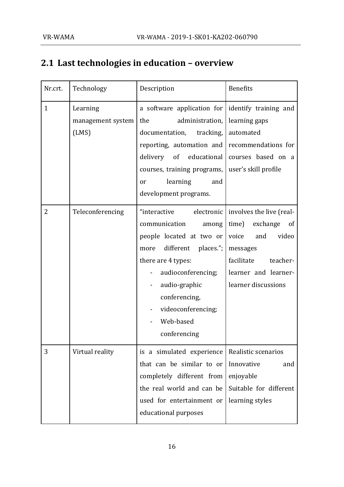# **2.1 Last technologies in education – overview**

| Nr.crt.      | Technology                             | Description                                                                                                                                                                                                                                                             | <b>Benefits</b>                                                                                                                                                              |
|--------------|----------------------------------------|-------------------------------------------------------------------------------------------------------------------------------------------------------------------------------------------------------------------------------------------------------------------------|------------------------------------------------------------------------------------------------------------------------------------------------------------------------------|
| $\mathbf{1}$ | Learning<br>management system<br>(LMS) | a software application for didentify training and<br>the<br>administration,<br>documentation, tracking,<br>reporting, automation and recommendations for<br>delivery<br>of educational<br>courses, training programs,<br>learning<br>and<br>or<br>development programs. | learning gaps<br>automated<br>courses based on a<br>user's skill profile                                                                                                     |
| 2            | Teleconferencing                       | electronic<br>"interactive<br>communication<br>among<br>people located at two or<br>different<br>places.";  <br>more<br>there are 4 types:<br>audioconferencing;<br>audio-graphic<br>conferencing,<br>videoconferencing;<br>Web-based<br>conferencing                   | involves the live (real-<br>time)<br>exchange<br><sub>of</sub><br>video<br>voice<br>and<br>messages<br>facilitate<br>teacher-<br>learner and learner-<br>learner discussions |
| 3            | Virtual reality                        | is a simulated experience<br>that can be similar to or<br>completely different from<br>the real world and can be<br>used for entertainment or<br>educational purposes                                                                                                   | Realistic scenarios<br>Innovative<br>and<br>enjoyable<br>Suitable for different<br>learning styles                                                                           |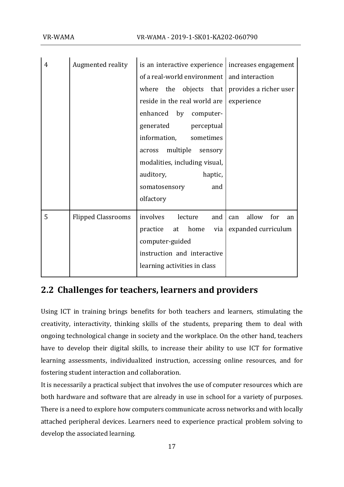| 4 | Augmented reality         | is an interactive experience $ $ increases engagement |                           |
|---|---------------------------|-------------------------------------------------------|---------------------------|
|   |                           | of a real-world environment   and interaction         |                           |
|   |                           | where the objects that provides a richer user         |                           |
|   |                           | reside in the real world are                          | experience                |
|   |                           | enhanced by computer-                                 |                           |
|   |                           | generated<br>perceptual                               |                           |
|   |                           | information,<br>sometimes                             |                           |
|   |                           | multiple<br>across<br>sensory                         |                           |
|   |                           | modalities, including visual,                         |                           |
|   |                           | auditory,<br>haptic,                                  |                           |
|   |                           | somatosensory<br>and                                  |                           |
|   |                           | olfactory                                             |                           |
| 5 | <b>Flipped Classrooms</b> | involves<br>lecture<br>and                            | allow<br>for<br>can<br>an |
|   |                           | practice<br>at<br>home<br>via                         | expanded curriculum       |
|   |                           | computer-guided                                       |                           |
|   |                           | instruction and interactive                           |                           |
|   |                           | learning activities in class                          |                           |

# <span id="page-16-0"></span>**2.2 Challenges for teachers, learners and providers**

Using ICT in training brings benefits for both teachers and learners, stimulating the creativity, interactivity, thinking skills of the students, preparing them to deal with ongoing technological change in society and the workplace. On the other hand, teachers have to develop their digital skills, to increase their ability to use ICT for formative learning assessments, individualized instruction, accessing online resources, and for fostering student interaction and collaboration.

It is necessarily a practical subject that involves the use of computer resources which are both hardware and software that are already in use in school for a variety of purposes. There is a need to explore how computers communicate across networks and with locally attached peripheral devices. Learners need to experience practical problem solving to develop the associated learning.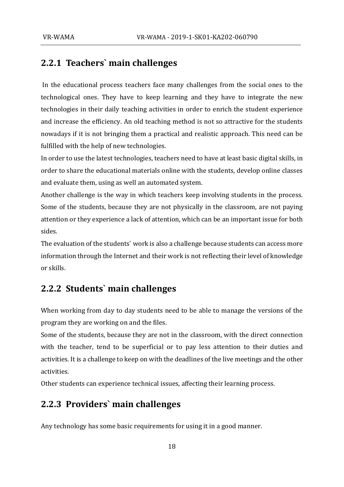# <span id="page-17-0"></span>**2.2.1 Teachers` main challenges**

In the educational process teachers face many challenges from the social ones to the technological ones. They have to keep learning and they have to integrate the new technologies in their daily teaching activities in order to enrich the student experience and increase the efficiency. An old teaching method is not so attractive for the students nowadays if it is not bringing them a practical and realistic approach. This need can be fulfilled with the help of new technologies.

In order to use the latest technologies, teachers need to have at least basic digital skills, in order to share the educational materials online with the students, develop online classes and evaluate them, using as well an automated system.

Another challenge is the way in which teachers keep involving students in the process. Some of the students, because they are not physically in the classroom, are not paying attention or they experience a lack of attention, which can be an important issue for both sides.

The evaluation of the students` work is also a challenge because students can access more information through the Internet and their work is not reflecting their level of knowledge or skills.

## <span id="page-17-1"></span>**2.2.2 Students` main challenges**

When working from day to day students need to be able to manage the versions of the program they are working on and the files.

Some of the students, because they are not in the classroom, with the direct connection with the teacher, tend to be superficial or to pay less attention to their duties and activities. It is a challenge to keep on with the deadlines of the live meetings and the other activities.

Other students can experience technical issues, affecting their learning process.

## <span id="page-17-2"></span>**2.2.3 Providers` main challenges**

Any technology has some basic requirements for using it in a good manner.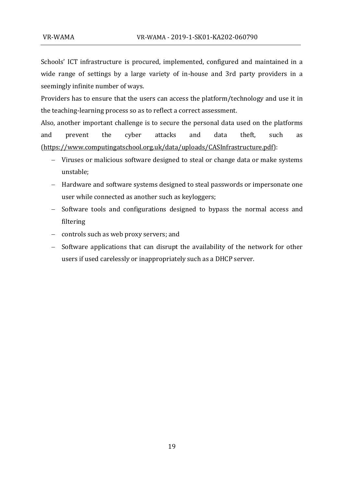Schools' ICT infrastructure is procured, implemented, configured and maintained in a wide range of settings by a large variety of in-house and 3rd party providers in a seemingly infinite number of ways.

Providers has to ensure that the users can access the platform/technology and use it in the teaching-learning process so as to reflect a correct assessment.

Also, another important challenge is to secure the personal data used on the platforms and prevent the cyber attacks and data theft, such as [\(https://www.computingatschool.org.uk/data/uploads/CASInfrastructure.pdf\)](https://www.computingatschool.org.uk/data/uploads/CASInfrastructure.pdf):

- − Viruses or malicious software designed to steal or change data or make systems unstable;
- − Hardware and software systems designed to steal passwords or impersonate one user while connected as another such as keyloggers;
- − Software tools and configurations designed to bypass the normal access and filtering
- − controls such as web proxy servers; and
- − Software applications that can disrupt the availability of the network for other users if used carelessly or inappropriately such as a DHCP server.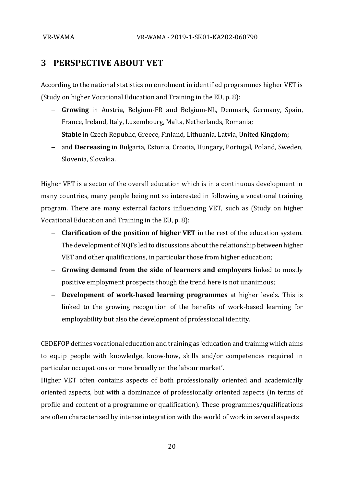# <span id="page-19-0"></span>**3 PERSPECTIVE ABOUT VET**

According to the national statistics on enrolment in identified programmes higher VET is (Study on higher Vocational Education and Training in the EU, p. 8):

- − **Growing** in Austria, Belgium-FR and Belgium-NL, Denmark, Germany, Spain, France, Ireland, Italy, Luxembourg, Malta, Netherlands, Romania;
- − **Stable** in Czech Republic, Greece, Finland, Lithuania, Latvia, United Kingdom;
- − and **Decreasing** in Bulgaria, Estonia, Croatia, Hungary, Portugal, Poland, Sweden, Slovenia, Slovakia.

Higher VET is a sector of the overall education which is in a continuous development in many countries, many people being not so interested in following a vocational training program. There are many external factors influencing VET, such as (Study on higher Vocational Education and Training in the EU, p. 8):

- − **Clarification of the position of higher VET** in the rest of the education system. The development of NQFs led to discussions about the relationship between higher VET and other qualifications, in particular those from higher education;
- − **Growing demand from the side of learners and employers** linked to mostly positive employment prospects though the trend here is not unanimous;
- − **Development of work-based learning programmes** at higher levels. This is linked to the growing recognition of the benefits of work-based learning for employability but also the development of professional identity.

CEDEFOP defines vocational education and training as 'education and training which aims to equip people with knowledge, know-how, skills and/or competences required in particular occupations or more broadly on the labour market'.

Higher VET often contains aspects of both professionally oriented and academically oriented aspects, but with a dominance of professionally oriented aspects (in terms of profile and content of a programme or qualification). These programmes/qualifications are often characterised by intense integration with the world of work in several aspects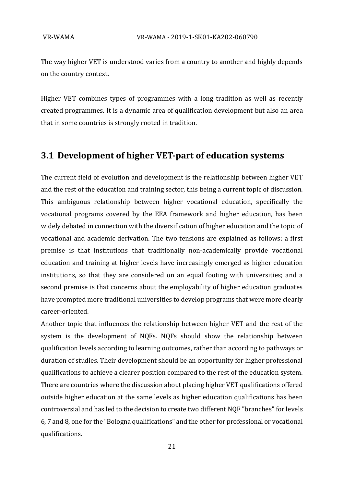The way higher VET is understood varies from a country to another and highly depends on the country context.

Higher VET combines types of programmes with a long tradition as well as recently created programmes. It is a dynamic area of qualification development but also an area that in some countries is strongly rooted in tradition.

### <span id="page-20-0"></span>**3.1 Development of higher VET-part of education systems**

The current field of evolution and development is the relationship between higher VET and the rest of the education and training sector, this being a current topic of discussion. This ambiguous relationship between higher vocational education, specifically the vocational programs covered by the EEA framework and higher education, has been widely debated in connection with the diversification of higher education and the topic of vocational and academic derivation. The two tensions are explained as follows: a first premise is that institutions that traditionally non-academically provide vocational education and training at higher levels have increasingly emerged as higher education institutions, so that they are considered on an equal footing with universities; and a second premise is that concerns about the employability of higher education graduates have prompted more traditional universities to develop programs that were more clearly career-oriented.

Another topic that influences the relationship between higher VET and the rest of the system is the development of NQFs. NQFs should show the relationship between qualification levels according to learning outcomes, rather than according to pathways or duration of studies. Their development should be an opportunity for higher professional qualifications to achieve a clearer position compared to the rest of the education system. There are countries where the discussion about placing higher VET qualifications offered outside higher education at the same levels as higher education qualifications has been controversial and has led to the decision to create two different NQF "branches" for levels 6, 7 and 8, one for the "Bologna qualifications" and the other for professional or vocational qualifications.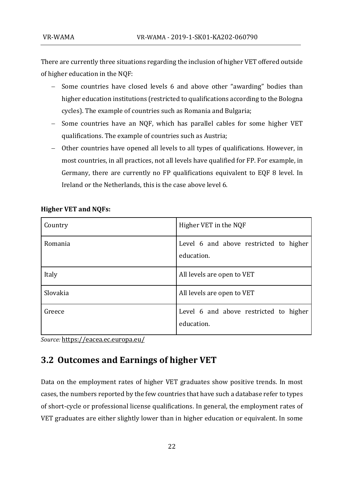There are currently three situations regarding the inclusion of higher VET offered outside of higher education in the NQF:

- − Some countries have closed levels 6 and above other "awarding" bodies than higher education institutions (restricted to qualifications according to the Bologna cycles). The example of countries such as Romania and Bulgaria;
- − Some countries have an NQF, which has parallel cables for some higher VET qualifications. The example of countries such as Austria;
- − Other countries have opened all levels to all types of qualifications. However, in most countries, in all practices, not all levels have qualified for FP. For example, in Germany, there are currently no FP qualifications equivalent to EQF 8 level. In Ireland or the Netherlands, this is the case above level 6.

| Country  | Higher VET in the NQF                                |
|----------|------------------------------------------------------|
| Romania  | Level 6 and above restricted to higher<br>education. |
| Italy    | All levels are open to VET                           |
| Slovakia | All levels are open to VET                           |
| Greece   | Level 6 and above restricted to higher<br>education. |

### **Higher VET and NQFs:**

*Source:* <https://eacea.ec.europa.eu/>

# <span id="page-21-0"></span>**3.2 Outcomes and Earnings of higher VET**

Data on the employment rates of higher VET graduates show positive trends. In most cases, the numbers reported by the few countries that have such a database refer to types of short-cycle or professional license qualifications. In general, the employment rates of VET graduates are either slightly lower than in higher education or equivalent. In some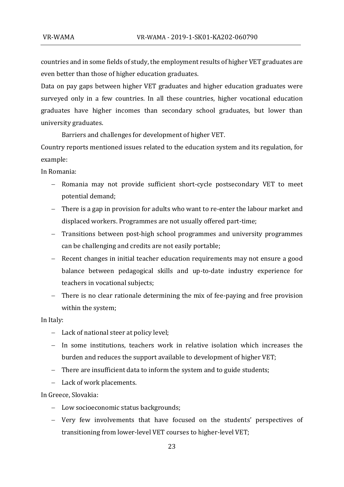countries and in some fields of study, the employment results of higher VET graduates are even better than those of higher education graduates.

Data on pay gaps between higher VET graduates and higher education graduates were surveyed only in a few countries. In all these countries, higher vocational education graduates have higher incomes than secondary school graduates, but lower than university graduates.

Barriers and challenges for development of higher VET.

Country reports mentioned issues related to the education system and its regulation, for example:

In Romania:

- − Romania may not provide sufficient short-cycle postsecondary VET to meet potential demand;
- − There is a gap in provision for adults who want to re-enter the labour market and displaced workers. Programmes are not usually offered part-time;
- − Transitions between post-high school programmes and university programmes can be challenging and credits are not easily portable;
- − Recent changes in initial teacher education requirements may not ensure a good balance between pedagogical skills and up-to-date industry experience for teachers in vocational subjects;
- − There is no clear rationale determining the mix of fee-paying and free provision within the system;

In Italy:

- − Lack of national steer at policy level;
- − In some institutions, teachers work in relative isolation which increases the burden and reduces the support available to development of higher VET;
- − There are insufficient data to inform the system and to guide students;
- − Lack of work placements.

In Greece, Slovakia:

- − Low socioeconomic status backgrounds;
- − Very few involvements that have focused on the students' perspectives of transitioning from lower-level VET courses to higher-level VET;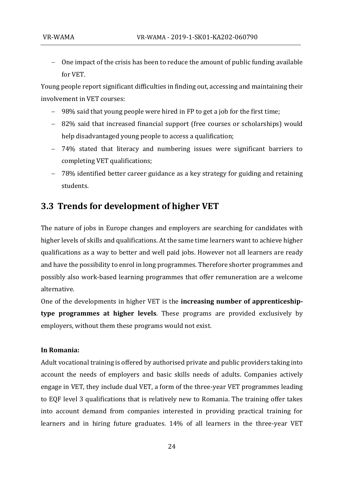− One impact of the crisis has been to reduce the amount of public funding available for VET.

Young people report significant difficulties in finding out, accessing and maintaining their involvement in VET courses:

- − 98% said that young people were hired in FP to get a job for the first time;
- − 82% said that increased financial support (free courses or scholarships) would help disadvantaged young people to access a qualification;
- − 74% stated that literacy and numbering issues were significant barriers to completing VET qualifications;
- − 78% identified better career guidance as a key strategy for guiding and retaining students.

## <span id="page-23-0"></span>**3.3 Trends for development of higher VET**

The nature of jobs in Europe changes and employers are searching for candidates with higher levels of skills and qualifications. At the same time learners want to achieve higher qualifications as a way to better and well paid jobs. However not all learners are ready and have the possibility to enrol in long programmes. Therefore shorter programmes and possibly also work-based learning programmes that offer remuneration are a welcome alternative.

One of the developments in higher VET is the **increasing number of apprenticeshiptype programmes at higher levels**. These programs are provided exclusively by employers, without them these programs would not exist.

#### **In Romania:**

Adult vocational training is offered by authorised private and public providers taking into account the needs of employers and basic skills needs of adults. Companies actively engage in VET, they include dual VET, a form of the three-year VET programmes leading to EQF level 3 qualifications that is relatively new to Romania. The training offer takes into account demand from companies interested in providing practical training for learners and in hiring future graduates. 14% of all learners in the three-year VET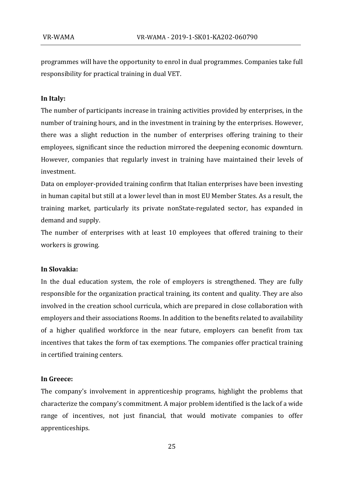programmes will have the opportunity to enrol in dual programmes. Companies take full responsibility for practical training in dual VET.

#### **In Italy:**

The number of participants increase in training activities provided by enterprises, in the number of training hours, and in the investment in training by the enterprises. However, there was a slight reduction in the number of enterprises offering training to their employees, significant since the reduction mirrored the deepening economic downturn. However, companies that regularly invest in training have maintained their levels of investment.

Data on employer-provided training confirm that Italian enterprises have been investing in human capital but still at a lower level than in most EU Member States. As a result, the training market, particularly its private nonState-regulated sector, has expanded in demand and supply.

The number of enterprises with at least 10 employees that offered training to their workers is growing.

#### **In Slovakia:**

In the dual education system, the role of employers is strengthened. They are fully responsible for the organization practical training, its content and quality. They are also involved in the creation school curricula, which are prepared in close collaboration with employers and their associations Rooms. In addition to the benefits related to availability of a higher qualified workforce in the near future, employers can benefit from tax incentives that takes the form of tax exemptions. The companies offer practical training in certified training centers.

#### **In Greece:**

The company's involvement in apprenticeship programs, highlight the problems that characterize the company's commitment. A major problem identified is the lack of a wide range of incentives, not just financial, that would motivate companies to offer apprenticeships.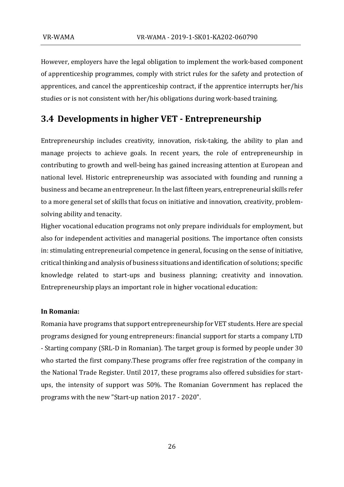However, employers have the legal obligation to implement the work-based component of apprenticeship programmes, comply with strict rules for the safety and protection of apprentices, and cancel the apprenticeship contract, if the apprentice interrupts her/his studies or is not consistent with her/his obligations during work-based training.

## **3.4 Developments in higher VET - Entrepreneurship**

Entrepreneurship includes creativity, innovation, risk-taking, the ability to plan and manage projects to achieve goals. In recent years, the role of entrepreneurship in contributing to growth and well-being has gained increasing attention at European and national level. Historic entrepreneurship was associated with founding and running a business and became an entrepreneur. In the last fifteen years, entrepreneurial skills refer to a more general set of skills that focus on initiative and innovation, creativity, problemsolving ability and tenacity.

Higher vocational education programs not only prepare individuals for employment, but also for independent activities and managerial positions. The importance often consists in: stimulating entrepreneurial competence in general, focusing on the sense of initiative, critical thinking and analysis of business situations and identification of solutions; specific knowledge related to start-ups and business planning; creativity and innovation. Entrepreneurship plays an important role in higher vocational education:

#### **In Romania:**

Romania have programs that support entrepreneurship for VET students. Here are special programs designed for young entrepreneurs: financial support for starts a company LTD - Starting company (SRL-D in Romanian). The target group is formed by people under 30 who started the first company.These programs offer free registration of the company in the National Trade Register. Until 2017, these programs also offered subsidies for startups, the intensity of support was 50%. The Romanian Government has replaced the programs with the new "Start-up nation 2017 - 2020".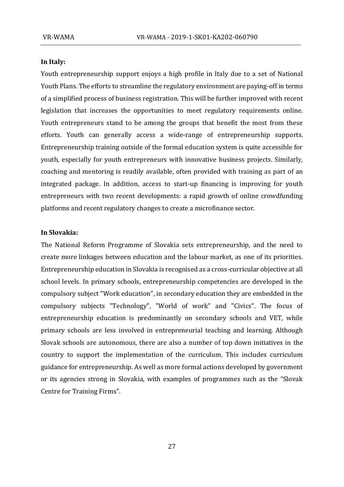#### **In Italy:**

Youth entrepreneurship support enjoys a high profile in Italy due to a set of National Youth Plans. The efforts to streamline the regulatory environment are paying-off in terms of a simplified process of business registration. This will be further improved with recent legislation that increases the opportunities to meet regulatory requirements online. Youth entrepreneurs stand to be among the groups that benefit the most from these efforts. Youth can generally access a wide-range of entrepreneurship supports. Entrepreneurship training outside of the formal education system is quite accessible for youth, especially for youth entrepreneurs with innovative business projects. Similarly, coaching and mentoring is readily available, often provided with training as part of an integrated package. In addition, access to start-up financing is improving for youth entrepreneurs with two recent developments: a rapid growth of online crowdfunding platforms and recent regulatory changes to create a microfinance sector.

#### **In Slovakia:**

The National Reform Programme of Slovakia sets entrepreneurship, and the need to create more linkages between education and the labour market, as one of its priorities. Entrepreneurship education in Slovakia is recognised as a cross-curricular objective at all school levels. In primary schools, entrepreneurship competencies are developed in the compulsory subject "Work education", in secondary education they are embedded in the compulsory subjects "Technology", "World of work" and "Civics". The focus of entrepreneurship education is predominantly on secondary schools and VET, while primary schools are less involved in entrepreneurial teaching and learning. Although Slovak schools are autonomous, there are also a number of top down initiatives in the country to support the implementation of the curriculum. This includes curriculum guidance for entrepreneurship. As well as more formal actions developed by government or its agencies strong in Slovakia, with examples of programmes such as the "Slovak Centre for Training Firms".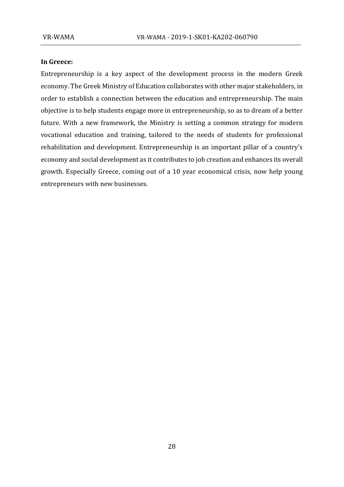#### **In Greece:**

Entrepreneurship is a key aspect of the development process in the modern Greek economy. The Greek Ministry of Education collaborates with other major stakeholders, in order to establish a connection between the education and entrepreneurship. The main objective is to help students engage more in entrepreneurship, so as to dream of a better future. With a new framework, the Ministry is setting a common strategy for modern vocational education and training, tailored to the needs of students for professional rehabilitation and development. Entrepreneurship is an important pillar of a country's economy and social development as it contributes to job creation and enhances its overall growth. Especially Greece, coming out of a 10 year economical crisis, now help young entrepreneurs with new businesses.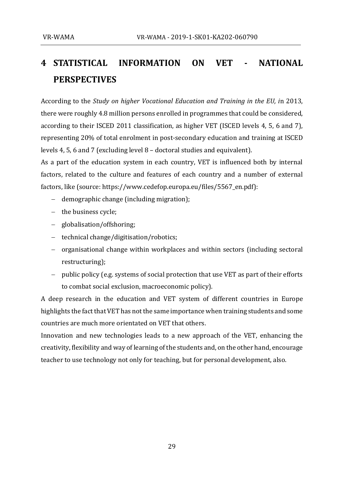# <span id="page-28-0"></span>**4 STATISTICAL INFORMATION ON VET - NATIONAL PERSPECTIVES**

According to the *Study on higher Vocational Education and Training in the EU, i*n 2013, there were roughly 4.8 million persons enrolled in programmes that could be considered, according to their ISCED 2011 classification, as higher VET (ISCED levels 4, 5, 6 and 7), representing 20% of total enrolment in post-secondary education and training at ISCED levels 4, 5, 6 and 7 (excluding level 8 – doctoral studies and equivalent).

As a part of the education system in each country, VET is influenced both by internal factors, related to the culture and features of each country and a number of external factors, like (source: https://www.cedefop.europa.eu/files/5567\_en.pdf):

- − demographic change (including migration);
- − the business cycle;
- − globalisation/offshoring;
- − technical change/digitisation/robotics;
- − organisational change within workplaces and within sectors (including sectoral restructuring);
- − public policy (e.g. systems of social protection that use VET as part of their efforts to combat social exclusion, macroeconomic policy).

A deep research in the education and VET system of different countries in Europe highlights the fact that VET has not the same importance when training students and some countries are much more orientated on VET that others.

Innovation and new technologies leads to a new approach of the VET, enhancing the creativity, flexibility and way of learning of the students and, on the other hand, encourage teacher to use technology not only for teaching, but for personal development, also.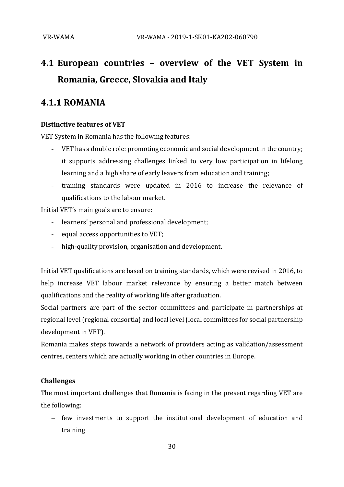# <span id="page-29-0"></span>**4.1 European countries – overview of the VET System in Romania, Greece, Slovakia and Italy**

## <span id="page-29-1"></span>**4.1.1 ROMANIA**

### **Distinctive features of VET**

VET System in Romania has the following features:

- VET has a double role: promoting economic and social development in the country; it supports addressing challenges linked to very low participation in lifelong learning and a high share of early leavers from education and training;
- training standards were updated in 2016 to increase the relevance of qualifications to the labour market.

Initial VET's main goals are to ensure:

- learners' personal and professional development;
- equal access opportunities to VET;
- high-quality provision, organisation and development.

Initial VET qualifications are based on training standards, which were revised in 2016, to help increase VET labour market relevance by ensuring a better match between qualifications and the reality of working life after graduation.

Social partners are part of the sector committees and participate in partnerships at regional level (regional consortia) and local level (local committees for social partnership development in VET).

Romania makes steps towards a network of providers acting as validation/assessment centres, centers which are actually working in other countries in Europe.

#### **Challenges**

The most important challenges that Romania is facing in the present regarding VET are the following:

− few investments to support the institutional development of education and training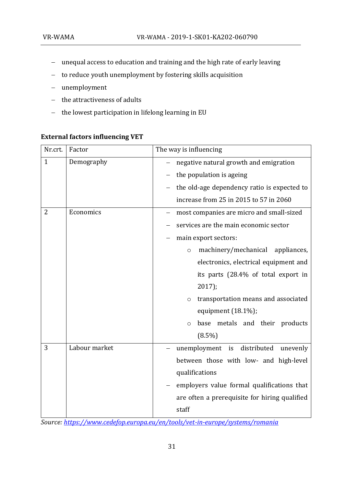- − unequal access to education and training and the high rate of early leaving
- − to reduce youth unemployment by fostering skills acquisition
- − unemployment
- − the attractiveness of adults
- − the lowest participation in lifelong learning in EU

### **External factors influencing VET**

| Nr.crt.        | Factor        | The way is influencing                         |  |
|----------------|---------------|------------------------------------------------|--|
| $\mathbf{1}$   | Demography    | negative natural growth and emigration         |  |
|                |               | the population is ageing                       |  |
|                |               | the old-age dependency ratio is expected to    |  |
|                |               | increase from 25 in 2015 to 57 in 2060         |  |
| $\overline{2}$ | Economics     | most companies are micro and small-sized       |  |
|                |               | services are the main economic sector          |  |
|                |               | main export sectors:                           |  |
|                |               | machinery/mechanical<br>appliances,<br>$\circ$ |  |
|                |               | electronics, electrical equipment and          |  |
|                |               | its parts (28.4% of total export in            |  |
|                |               | $2017$ ;                                       |  |
|                |               | transportation means and associated<br>$\circ$ |  |
|                |               | equipment $(18.1\%)$ ;                         |  |
|                |               | base metals and their products<br>$\circ$      |  |
|                |               | $(8.5\%)$                                      |  |
| 3              | Labour market | unemployment is distributed<br>unevenly        |  |
|                |               | between those with low- and high-level         |  |
|                |               | qualifications                                 |  |
|                |               | employers value formal qualifications that     |  |
|                |               | are often a prerequisite for hiring qualified  |  |
|                |               | staff                                          |  |

*Source:<https://www.cedefop.europa.eu/en/tools/vet-in-europe/systems/romania>*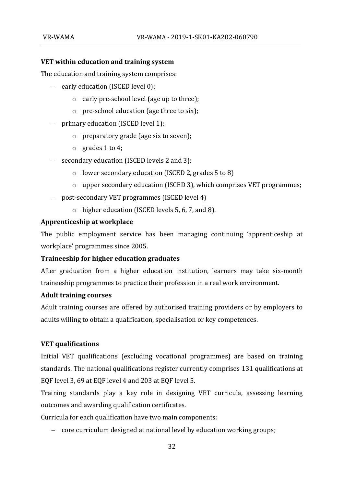#### **VET within education and training system**

The education and training system comprises:

- − early education (ISCED level 0):
	- o early pre-school level (age up to three);
	- o pre-school education (age three to six);
- − primary education (ISCED level 1):
	- o preparatory grade (age six to seven);
	- o grades 1 to 4;
- − secondary education (ISCED levels 2 and 3):
	- o lower secondary education (ISCED 2, grades 5 to 8)
	- o upper secondary education (ISCED 3), which comprises VET programmes;
- − post-secondary VET programmes (ISCED level 4)
	- o higher education (ISCED levels 5, 6, 7, and 8).

#### **Apprenticeship at workplace**

The public employment service has been managing continuing 'apprenticeship at workplace' programmes since 2005.

### **Traineeship for higher education graduates**

After graduation from a higher education institution, learners may take six-month traineeship programmes to practice their profession in a real work environment.

#### **Adult training courses**

Adult training courses are offered by authorised training providers or by employers to adults willing to obtain a qualification, specialisation or key competences.

#### **VET qualifications**

Initial VET qualifications (excluding vocational programmes) are based on training standards. The national qualifications register currently comprises 131 qualifications at EQF level 3, 69 at EQF level 4 and 203 at EQF level 5.

Training standards play a key role in designing VET curricula, assessing learning outcomes and awarding qualification certificates.

Curricula for each qualification have two main components:

− core curriculum designed at national level by education working groups;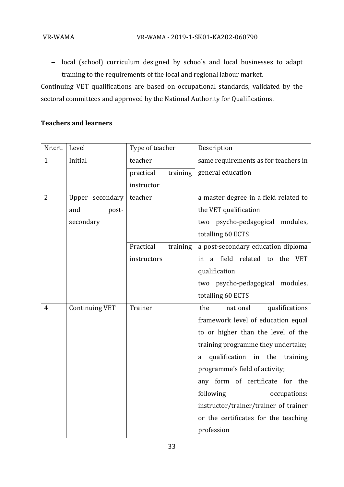− local (school) curriculum designed by schools and local businesses to adapt training to the requirements of the local and regional labour market.

Continuing VET qualifications are based on occupational standards, validated by the sectoral committees and approved by the National Authority for Qualifications.

### **Teachers and learners**

| Nr.crt.        | Level                 | Type of teacher       | Description                           |  |  |
|----------------|-----------------------|-----------------------|---------------------------------------|--|--|
| $\mathbf{1}$   | Initial               | teacher               | same requirements as for teachers in  |  |  |
|                |                       | practical<br>training | general education                     |  |  |
|                |                       | instructor            |                                       |  |  |
| $\overline{2}$ | Upper secondary       | teacher               | a master degree in a field related to |  |  |
|                | and<br>post-          |                       | the VET qualification                 |  |  |
|                | secondary             |                       | two psycho-pedagogical modules,       |  |  |
|                |                       |                       | totalling 60 ECTS                     |  |  |
|                |                       | Practical<br>training | a post-secondary education diploma    |  |  |
|                |                       | instructors           | a field related to the VET<br>in      |  |  |
|                |                       |                       | qualification                         |  |  |
|                |                       |                       | two psycho-pedagogical modules,       |  |  |
|                |                       |                       | totalling 60 ECTS                     |  |  |
| $\overline{4}$ | <b>Continuing VET</b> | Trainer               | the<br>national<br>qualifications     |  |  |
|                |                       |                       | framework level of education equal    |  |  |
|                |                       |                       | to or higher than the level of the    |  |  |
|                |                       |                       | training programme they undertake;    |  |  |
|                |                       |                       | qualification in the<br>training<br>a |  |  |
|                |                       |                       | programme's field of activity;        |  |  |
|                |                       |                       | any form of certificate for the       |  |  |
|                |                       |                       | following<br>occupations:             |  |  |
|                |                       |                       | instructor/trainer/trainer of trainer |  |  |
|                |                       |                       | or the certificates for the teaching  |  |  |
|                |                       |                       | profession                            |  |  |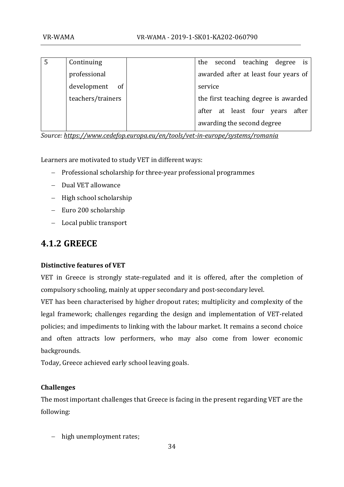| Continuing                   |         |                            |  | the second teaching degree is        |  |
|------------------------------|---------|----------------------------|--|--------------------------------------|--|
| professional                 |         |                            |  | awarded after at least four years of |  |
| development<br><sub>of</sub> | service |                            |  |                                      |  |
| teachers/trainers            |         |                            |  | the first teaching degree is awarded |  |
|                              |         |                            |  | after at least four years after      |  |
|                              |         | awarding the second degree |  |                                      |  |

*Source:<https://www.cedefop.europa.eu/en/tools/vet-in-europe/systems/romania>*

Learners are motivated to study VET in different ways:

- − Professional scholarship for three-year professional programmes
- − Dual VET allowance
- − High school scholarship
- − Euro 200 scholarship
- − Local public transport

# <span id="page-33-0"></span>**4.1.2 GREECE**

### **Distinctive features of VET**

VET in Greece is strongly state-regulated and it is offered, after the completion of compulsory schooling, mainly at upper secondary and post-secondary level.

VET has been characterised by higher dropout rates; multiplicity and complexity of the legal framework; challenges regarding the design and implementation of VET-related policies; and impediments to linking with the labour market. It remains a second choice and often attracts low performers, who may also come from lower economic backgrounds.

Today, Greece achieved early school leaving goals.

### **Challenges**

The most important challenges that Greece is facing in the present regarding VET are the following:

− high unemployment rates;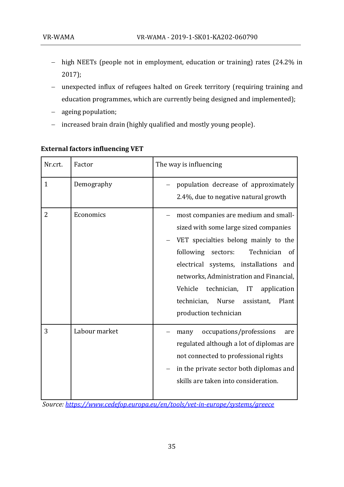- − high NEETs (people not in employment, education or training) rates (24.2% in 2017);
- − unexpected influx of refugees halted on Greek territory (requiring training and education programmes, which are currently being designed and implemented);
- − ageing population;
- − increased brain drain (highly qualified and mostly young people).

| Nr.crt.      | Factor        | The way is influencing                                                                                                                                                                                                                                                                                                                                                       |  |  |  |  |
|--------------|---------------|------------------------------------------------------------------------------------------------------------------------------------------------------------------------------------------------------------------------------------------------------------------------------------------------------------------------------------------------------------------------------|--|--|--|--|
| $\mathbf{1}$ | Demography    | population decrease of approximately<br>2.4%, due to negative natural growth                                                                                                                                                                                                                                                                                                 |  |  |  |  |
| 2            | Economics     | most companies are medium and small-<br>sized with some large sized companies<br>VET specialties belong mainly to the<br>following<br>Technician<br>sectors:<br><sub>of</sub><br>electrical systems, installations and<br>networks, Administration and Financial,<br>Vehicle<br>technician, IT application<br>technician, Nurse assistant,<br>Plant<br>production technician |  |  |  |  |
| 3            | Labour market | occupations/professions<br>many<br>are<br>regulated although a lot of diplomas are<br>not connected to professional rights<br>in the private sector both diplomas and<br>skills are taken into consideration.                                                                                                                                                                |  |  |  |  |

### **External factors influencing VET**

*Source:<https://www.cedefop.europa.eu/en/tools/vet-in-europe/systems/greece>*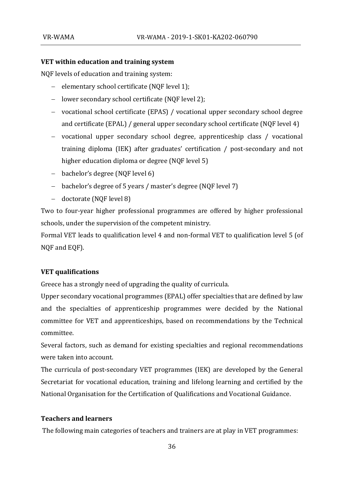### **VET within education and training system**

NQF levels of education and training system:

- − elementary school certificate (NQF level 1);
- − lower secondary school certificate (NQF level 2);
- − vocational school certificate (EPAS) / vocational upper secondary school degree and certificate (EPAL) / general upper secondary school certificate (NQF level 4)
- − vocational upper secondary school degree, apprenticeship class / vocational training diploma (IEK) after graduates' certification / post-secondary and not higher education diploma or degree (NQF level 5)
- − bachelor's degree (NQF level 6)
- − bachelor's degree of 5 years / master's degree (NQF level 7)
- − doctorate (NQF level 8)

Two to four-year higher professional programmes are offered by higher professional schools, under the supervision of the competent ministry.

Formal VET leads to qualification level 4 and non-formal VET to qualification level 5 (of NQF and EQF).

### **VET qualifications**

Greece has a strongly need of upgrading the quality of curricula.

Upper secondary vocational programmes (EPAL) offer specialties that are defined by law and the specialties of apprenticeship programmes were decided by the National committee for VET and apprenticeships, based on recommendations by the Technical committee.

Several factors, such as demand for existing specialties and regional recommendations were taken into account.

The curricula of post-secondary VET programmes (IEK) are developed by the General Secretariat for vocational education, training and lifelong learning and certified by the National Organisation for the Certification of Qualifications and Vocational Guidance.

### **Teachers and learners**

The following main categories of teachers and trainers are at play in VET programmes: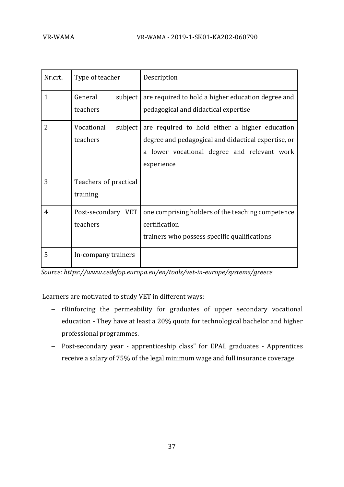| Nr.crt.        | Type of teacher                   | Description                                                                                                                                                        |  |  |
|----------------|-----------------------------------|--------------------------------------------------------------------------------------------------------------------------------------------------------------------|--|--|
| $\mathbf{1}$   | General<br>subject  <br>teachers  | are required to hold a higher education degree and<br>pedagogical and didactical expertise                                                                         |  |  |
| $\overline{2}$ | Vocational<br>subject<br>teachers | are required to hold either a higher education<br>degree and pedagogical and didactical expertise, or<br>a lower vocational degree and relevant work<br>experience |  |  |
| 3              | Teachers of practical<br>training |                                                                                                                                                                    |  |  |
| $\overline{4}$ | Post-secondary VET<br>teachers    | one comprising holders of the teaching competence<br>certification<br>trainers who possess specific qualifications                                                 |  |  |
| 5              | In-company trainers               |                                                                                                                                                                    |  |  |

*Source: <https://www.cedefop.europa.eu/en/tools/vet-in-europe/systems/greece>*

Learners are motivated to study VET in different ways:

- − rRinforcing the permeability for graduates of upper secondary vocational education - They have at least a 20% quota for technological bachelor and higher professional programmes.
- − Post-secondary year apprenticeship class" for EPAL graduates Apprentices receive a salary of 75% of the legal minimum wage and full insurance coverage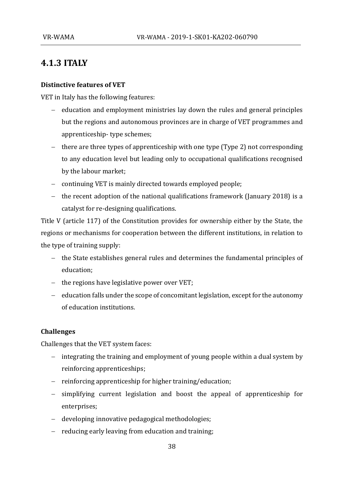## <span id="page-37-0"></span>**4.1.3 ITALY**

#### **Distinctive features of VET**

VET in Italy has the following features:

- − education and employment ministries lay down the rules and general principles but the regions and autonomous provinces are in charge of VET programmes and apprenticeship- type schemes;
- − there are three types of apprenticeship with one type (Type 2) not corresponding to any education level but leading only to occupational qualifications recognised by the labour market;
- − continuing VET is mainly directed towards employed people;
- − the recent adoption of the national qualifications framework (January 2018) is a catalyst for re-designing qualifications.

Title V (article 117) of the Constitution provides for ownership either by the State, the regions or mechanisms for cooperation between the different institutions, in relation to the type of training supply:

- − the State establishes general rules and determines the fundamental principles of education;
- − the regions have legislative power over VET;
- − education falls under the scope of concomitant legislation, except for the autonomy of education institutions.

#### **Challenges**

Challenges that the VET system faces:

- − integrating the training and employment of young people within a dual system by reinforcing apprenticeships;
- − reinforcing apprenticeship for higher training/education;
- − simplifying current legislation and boost the appeal of apprenticeship for enterprises;
- − developing innovative pedagogical methodologies;
- − reducing early leaving from education and training;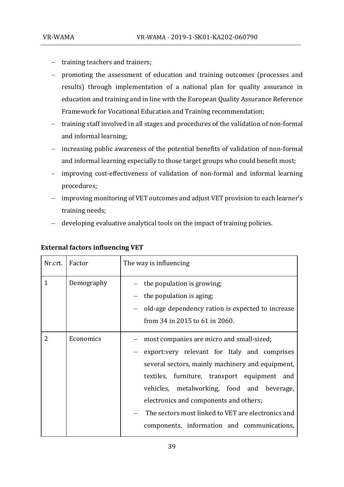- − training teachers and trainers;
- − promoting the assessment of education and training outcomes (processes and results) through implementation of a national plan for quality assurance in education and training and in line with the European Quality Assurance Reference Framework for Vocational Education and Training recommendation;
- − training staff involved in all stages and procedures of the validation of non-formal and informal learning;
- − increasing public awareness of the potential benefits of validation of non-formal and informal learning especially to those target groups who could benefit most;
- − improving cost-effectiveness of validation of non-formal and informal learning procedures;
- − improving monitoring of VET outcomes and adjust VET provision to each learner's training needs;
- − developing evaluative analytical tools on the impact of training policies.

| Nr.crt.      | Factor     | The way is influencing                                                                                                                                                                                                                                                                                                                                                                      |  |  |  |  |
|--------------|------------|---------------------------------------------------------------------------------------------------------------------------------------------------------------------------------------------------------------------------------------------------------------------------------------------------------------------------------------------------------------------------------------------|--|--|--|--|
| $\mathbf{1}$ | Demography | the population is growing;<br>the population is aging,<br>old-age dependency ration is expected to increase<br>from 34 in 2015 to 61 in 2060.                                                                                                                                                                                                                                               |  |  |  |  |
| 2            | Economics  | most companies are micro and small-sized;<br>export: very relevant for Italy and comprises<br>several sectors, mainly machinery and equipment,<br>textiles, furniture, transport equipment and<br>vehicles, metalworking, food and beverage,<br>electronics and components and others;<br>The sectors most linked to VET are electronics and<br>components, information and communications, |  |  |  |  |

### **External factors influencing VET**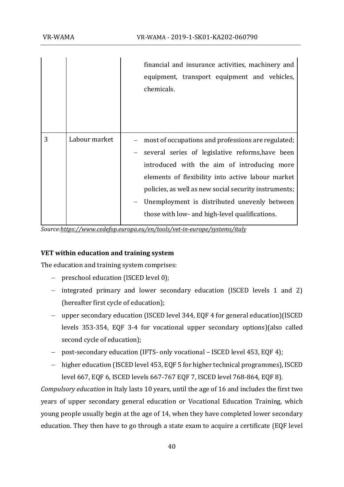|   |               | financial and insurance activities, machinery and<br>equipment, transport equipment and vehicles,<br>chemicals.                                                                                                                                                                                                                                                       |
|---|---------------|-----------------------------------------------------------------------------------------------------------------------------------------------------------------------------------------------------------------------------------------------------------------------------------------------------------------------------------------------------------------------|
| 3 | Labour market | most of occupations and professions are regulated;<br>several series of legislative reforms, have been<br>introduced with the aim of introducing more<br>elements of flexibility into active labour market<br>policies, as well as new social security instruments;<br>Unemployment is distributed unevenly between<br>those with low- and high-level qualifications. |

*Sourc[e:https://www.cedefop.europa.eu/en/tools/vet-in-europe/systems/italy](https://www.cedefop.europa.eu/en/tools/vet-in-europe/systems/italy)*

### **VET within education and training system**

The education and training system comprises:

- − preschool education (ISCED level 0);
- − integrated primary and lower secondary education (ISCED levels 1 and 2) (hereafter first cycle of education);
- − upper secondary education (ISCED level 344, EQF 4 for general education)(ISCED levels 353-354, EQF 3-4 for vocational upper secondary options)(also called second cycle of education);
- − post-secondary education (IFTS- only vocational ISCED level 453, EQF 4);
- − higher education (ISCED level 453, EQF 5 for higher technical programmes), ISCED level 667, EQF 6, ISCED levels 667-767 EQF 7, ISCED level 768-864, EQF 8).

*Compulsory education* in Italy lasts 10 years, until the age of 16 and includes the first two years of upper secondary general education or Vocational Education Training, which young people usually begin at the age of 14, when they have completed lower secondary education. They then have to go through a state exam to acquire a certificate (EQF level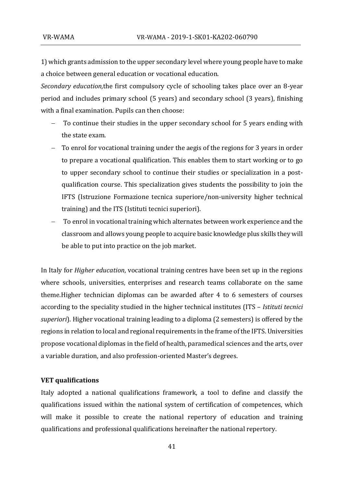1) which grants admission to the upper secondary level where young people have to make a choice between general education or vocational education.

*Secondary education,*the first compulsory cycle of schooling takes place over an 8-year period and includes primary school (5 years) and secondary school (3 years), finishing with a final examination. Pupils can then choose:

- − To continue their studies in the upper secondary school for 5 years ending with the state exam.
- − To enrol for vocational training under the aegis of the regions for 3 years in order to prepare a vocational qualification. This enables them to start working or to go to upper secondary school to continue their studies or specialization in a postqualification course. This specialization gives students the possibility to join the IFTS (Istruzione Formazione tecnica superiore/non-university higher technical training) and the ITS (Istituti tecnici superiori).
- To enrol in vocational training which alternates between work experience and the classroom and allows young people to acquire basic knowledge plus skills they will be able to put into practice on the job market.

In Italy for *Higher education*, vocational training centres have been set up in the regions where schools, universities, enterprises and research teams collaborate on the same theme.Higher technician diplomas can be awarded after 4 to 6 semesters of courses according to the speciality studied in the higher technical institutes (ITS – *Istituti tecnici superiori*). Higher vocational training leading to a diploma (2 semesters) is offered by the regions in relation to local and regional requirements in the frame of the IFTS. Universities propose vocational diplomas in the field of health, paramedical sciences and the arts, over a variable duration, and also profession-oriented Master's degrees.

#### **VET qualifications**

Italy adopted a national qualifications framework, a tool to define and classify the qualifications issued within the national system of certification of competences, which will make it possible to create the national repertory of education and training qualifications and professional qualifications hereinafter the national repertory.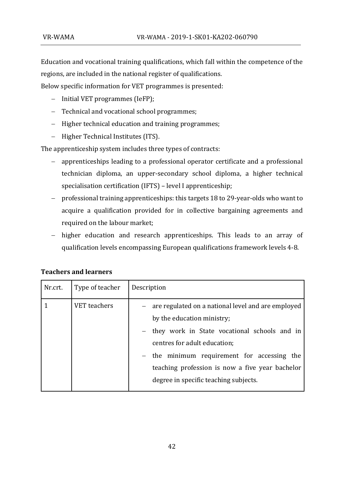Education and vocational training qualifications, which fall within the competence of the regions, are included in the national register of qualifications.

Below specific information for VET programmes is presented:

- − Initial VET programmes (IeFP);
- − Technical and vocational school programmes;
- − Higher technical education and training programmes;
- − Higher Technical Institutes (ITS).

The apprenticeship system includes three types of contracts:

- − apprenticeships leading to a professional operator certificate and a professional technician diploma, an upper-secondary school diploma, a higher technical specialisation certification (IFTS) – level I apprenticeship;
- − professional training apprenticeships: this targets 18 to 29-year-olds who want to acquire a qualification provided for in collective bargaining agreements and required on the labour market;
- − higher education and research apprenticeships. This leads to an array of qualification levels encompassing European qualifications framework levels 4-8.

| Nr.crt. | Type of teacher     | Description                                                                                                                                                                                                                                                                                                   |
|---------|---------------------|---------------------------------------------------------------------------------------------------------------------------------------------------------------------------------------------------------------------------------------------------------------------------------------------------------------|
|         | <b>VET</b> teachers | - are regulated on a national level and are employed<br>by the education ministry;<br>they work in State vocational schools and in<br>centres for adult education;<br>- the minimum requirement for accessing the<br>teaching profession is now a five year bachelor<br>degree in specific teaching subjects. |

#### **Teachers and learners**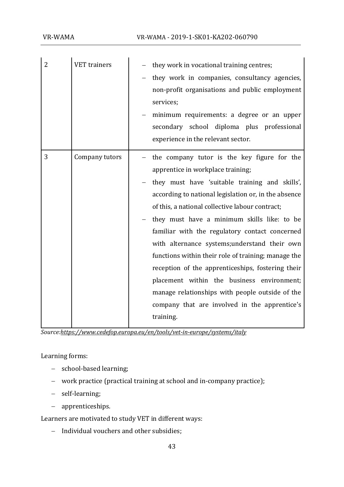| $\overline{2}$ | <b>VET</b> trainers | they work in vocational training centres;<br>they work in companies, consultancy agencies,<br>non-profit organisations and public employment<br>services;<br>minimum requirements: a degree or an upper<br>secondary school diploma plus professional<br>experience in the relevant sector.                                                                                                                                                                                                                                                                                                                                                                                  |
|----------------|---------------------|------------------------------------------------------------------------------------------------------------------------------------------------------------------------------------------------------------------------------------------------------------------------------------------------------------------------------------------------------------------------------------------------------------------------------------------------------------------------------------------------------------------------------------------------------------------------------------------------------------------------------------------------------------------------------|
| 3              | Company tutors      | - the company tutor is the key figure for the<br>apprentice in workplace training;<br>they must have 'suitable training and skills',<br>according to national legislation or, in the absence<br>of this, a national collective labour contract;<br>they must have a minimum skills like: to be<br>familiar with the regulatory contact concerned<br>with alternance systems; understand their own<br>functions within their role of training; manage the<br>reception of the apprenticeships, fostering their<br>placement within the business environment;<br>manage relationships with people outside of the<br>company that are involved in the apprentice's<br>training. |

*Sourc[e:https://www.cedefop.europa.eu/en/tools/vet-in-europe/systems/italy](https://www.cedefop.europa.eu/en/tools/vet-in-europe/systems/italy)*

Learning forms:

- − school-based learning;
- − work practice (practical training at school and in-company practice);
- − self-learning;
- − apprenticeships.

Learners are motivated to study VET in different ways:

− Individual vouchers and other subsidies;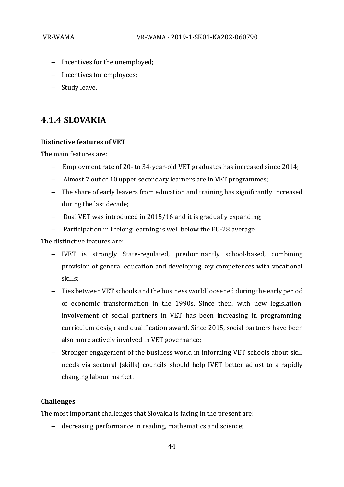- − Incentives for the unemployed;
- − Incentives for employees;
- − Study leave.

## <span id="page-43-0"></span>**4.1.4 SLOVAKIA**

#### **Distinctive features of VET**

The main features are:

- − Employment rate of 20- to 34-year-old VET graduates has increased since 2014;
- − Almost 7 out of 10 upper secondary learners are in VET programmes;
- − The share of early leavers from education and training has significantly increased during the last decade;
- − Dual VET was introduced in 2015/16 and it is gradually expanding;
- − Participation in lifelong learning is well below the EU-28 average.

The distinctive features are:

- − IVET is strongly State-regulated, predominantly school-based, combining provision of general education and developing key competences with vocational skills;
- − Ties between VET schools and the business world loosened during the early period of economic transformation in the 1990s. Since then, with new legislation, involvement of social partners in VET has been increasing in programming, curriculum design and qualification award. Since 2015, social partners have been also more actively involved in VET governance;
- − Stronger engagement of the business world in informing VET schools about skill needs via sectoral (skills) councils should help IVET better adjust to a rapidly changing labour market.

### **Challenges**

The most important challenges that Slovakia is facing in the present are:

− decreasing performance in reading, mathematics and science;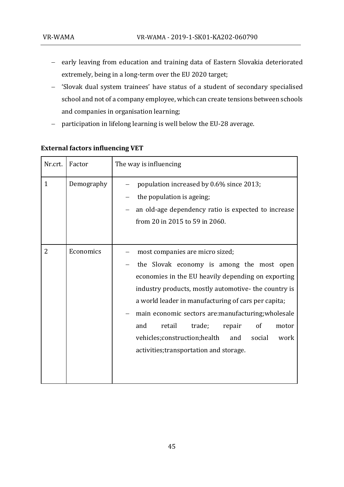- − early leaving from education and training data of Eastern Slovakia deteriorated extremely, being in a long-term over the EU 2020 target;
- − 'Slovak dual system trainees' have status of a student of secondary specialised school and not of a company employee, which can create tensions between schools and companies in organisation learning;
- − participation in lifelong learning is well below the EU-28 average.

| Nr.crt.      | Factor     | The way is influencing                                                                                                                                                                                                                                                                                                                                                                                                                                           |  |  |  |  |
|--------------|------------|------------------------------------------------------------------------------------------------------------------------------------------------------------------------------------------------------------------------------------------------------------------------------------------------------------------------------------------------------------------------------------------------------------------------------------------------------------------|--|--|--|--|
| $\mathbf{1}$ | Demography | population increased by 0.6% since 2013;<br>the population is ageing;<br>an old-age dependency ratio is expected to increase<br>from 20 in 2015 to 59 in 2060.                                                                                                                                                                                                                                                                                                   |  |  |  |  |
| 2            | Economics  | most companies are micro sized;<br>the Slovak economy is among the most open<br>economies in the EU heavily depending on exporting<br>industry products, mostly automotive- the country is<br>a world leader in manufacturing of cars per capita;<br>main economic sectors are:manufacturing;wholesale<br>retail<br>trade;<br>of<br>and<br>repair<br>motor<br>vehicles; construction; health<br>social<br>and<br>work<br>activities; transportation and storage. |  |  |  |  |

### **External factors influencing VET**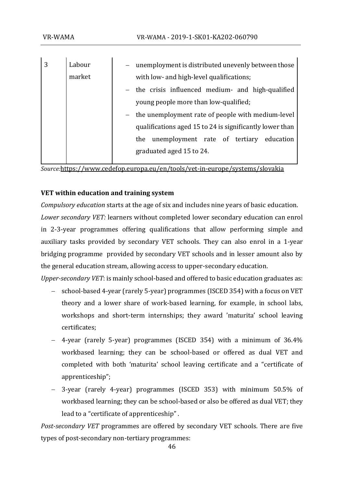| 3 | Labour | - unemployment is distributed unevenly between those     |
|---|--------|----------------------------------------------------------|
|   | market | with low- and high-level qualifications;                 |
|   |        | - the crisis influenced medium- and high-qualified       |
|   |        | young people more than low-qualified;                    |
|   |        | - the unemployment rate of people with medium-level      |
|   |        | qualifications aged 15 to 24 is significantly lower than |
|   |        | unemployment rate of tertiary education<br>the           |
|   |        | graduated aged 15 to 24.                                 |
|   |        |                                                          |

*Source:*<https://www.cedefop.europa.eu/en/tools/vet-in-europe/systems/slovakia>

### **VET within education and training system**

*Compulsory education* starts at the age of six and includes nine years of basic education.

*Lower secondary VET:* learners without completed lower secondary education can enrol in 2-3-year programmes offering qualifications that allow performing simple and auxiliary tasks provided by secondary VET schools. They can also enrol in a 1-year bridging programme provided by secondary VET schools and in lesser amount also by the general education stream, allowing access to upper-secondary education.

*Upper-secondary VET*: is mainly school-based and offered to basic education graduates as:

- − school-based 4-year (rarely 5-year) programmes (ISCED 354) with a focus on VET theory and a lower share of work-based learning, for example, in school labs, workshops and short-term internships; they award 'maturita' school leaving certificates;
- − 4-year (rarely 5-year) programmes (ISCED 354) with a minimum of 36.4% workbased learning; they can be school-based or offered as dual VET and completed with both 'maturita' school leaving certificate and a "certificate of apprenticeship";
- − 3-year (rarely 4-year) programmes (ISCED 353) with minimum 50.5% of workbased learning; they can be school-based or also be offered as dual VET; they lead to a "certificate of apprenticeship" .

*Post-secondary VET* programmes are offered by secondary VET schools. There are five types of post-secondary non-tertiary programmes: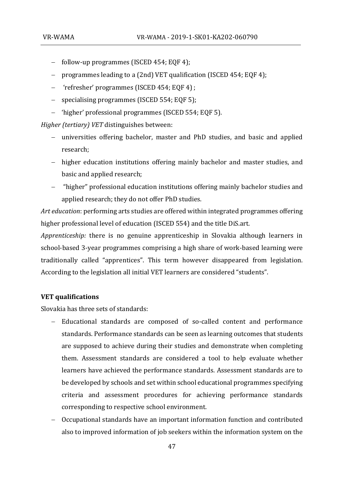- − follow-up programmes (ISCED 454; EQF 4);
- − programmes leading to a (2nd) VET qualification (ISCED 454; EQF 4);
- − 'refresher' programmes (ISCED 454; EQF 4) ;
- − specialising programmes (ISCED 554; EQF 5);
- − 'higher' professional programmes (ISCED 554; EQF 5).

*Higher (tertiary) VET* distinguishes between:

- − universities offering bachelor, master and PhD studies, and basic and applied research;
- − higher education institutions offering mainly bachelor and master studies, and basic and applied research;
- − "higher" professional education institutions offering mainly bachelor studies and applied research; they do not offer PhD studies.

*Art education*: performing arts studies are offered within integrated programmes offering higher professional level of education (ISCED 554) and the title DiS.art.

*Apprenticeship:* there is no genuine apprenticeship in Slovakia although learners in school-based 3-year programmes comprising a high share of work-based learning were traditionally called "apprentices". This term however disappeared from legislation. According to the legislation all initial VET learners are considered "students".

#### **VET qualifications**

Slovakia has three sets of standards:

- − Educational standards are composed of so-called content and performance standards. Performance standards can be seen as learning outcomes that students are supposed to achieve during their studies and demonstrate when completing them. Assessment standards are considered a tool to help evaluate whether learners have achieved the performance standards. Assessment standards are to be developed by schools and set within school educational programmes specifying criteria and assessment procedures for achieving performance standards corresponding to respective school environment.
- − Occupational standards have an important information function and contributed also to improved information of job seekers within the information system on the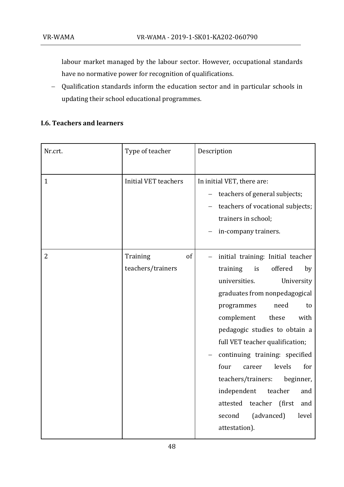labour market managed by the labour sector. However, occupational standards have no normative power for recognition of qualifications.

− Qualification standards inform the education sector and in particular schools in updating their school educational programmes.

### **I.6. Teachers and learners**

| Nr.crt.      | Type of teacher                     | Description                                                                                                                                                                                                                                                                                                                                                                                                                                                                                            |
|--------------|-------------------------------------|--------------------------------------------------------------------------------------------------------------------------------------------------------------------------------------------------------------------------------------------------------------------------------------------------------------------------------------------------------------------------------------------------------------------------------------------------------------------------------------------------------|
| $\mathbf{1}$ | <b>Initial VET teachers</b>         | In initial VET, there are:<br>teachers of general subjects;<br>teachers of vocational subjects;<br>trainers in school;<br>in-company trainers.                                                                                                                                                                                                                                                                                                                                                         |
| 2            | Training<br>of<br>teachers/trainers | initial training: Initial teacher<br>training<br>offered<br>is<br>by<br>universities.<br>University<br>graduates from nonpedagogical<br>programmes<br>need<br>to<br>complement<br>these<br>with<br>pedagogic studies to obtain a<br>full VET teacher qualification;<br>continuing training: specified<br>four<br>levels<br>for<br>career<br>teachers/trainers:<br>beginner,<br>independent<br>teacher<br>and<br>(first<br>teacher<br>attested<br>and<br>(advanced)<br>level<br>second<br>attestation). |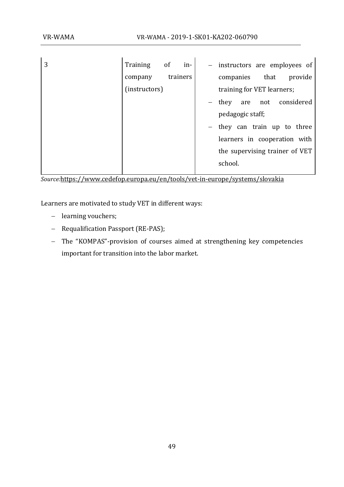| 3 | Training      | of | in-      | $\frac{1}{2}$ |                            |            | instructors are employees of   |
|---|---------------|----|----------|---------------|----------------------------|------------|--------------------------------|
|   | company       |    | trainers |               | companies                  | that       | provide                        |
|   | (instructors) |    |          |               | training for VET learners; |            |                                |
|   |               |    |          |               | they                       | not<br>are | considered                     |
|   |               |    |          |               | pedagogic staff;           |            |                                |
|   |               |    |          |               |                            |            | they can train up to three     |
|   |               |    |          |               |                            |            | learners in cooperation with   |
|   |               |    |          |               |                            |            | the supervising trainer of VET |
|   |               |    |          |               | school.                    |            |                                |
|   |               |    |          |               |                            |            |                                |

*Source:*<https://www.cedefop.europa.eu/en/tools/vet-in-europe/systems/slovakia>

Learners are motivated to study VET in different ways:

- − learning vouchers;
- − Requalification Passport (RE-PAS);
- − The "KOMPAS"-provision of courses aimed at strengthening key competencies important for transition into the labor market.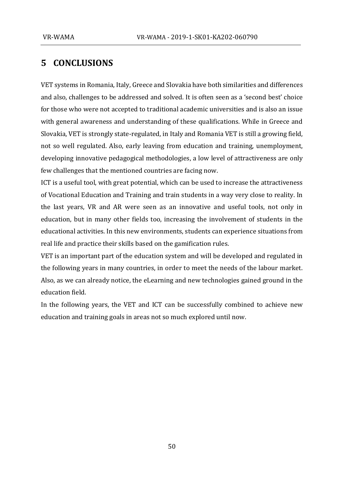# <span id="page-49-0"></span>**5 CONCLUSIONS**

VET systems in Romania, Italy, Greece and Slovakia have both similarities and differences and also, challenges to be addressed and solved. It is often seen as a 'second best' choice for those who were not accepted to traditional academic universities and is also an issue with general awareness and understanding of these qualifications. While in Greece and Slovakia, VET is strongly state-regulated, in Italy and Romania VET is still a growing field, not so well regulated. Also, early leaving from education and training, unemployment, developing innovative pedagogical methodologies, a low level of attractiveness are only few challenges that the mentioned countries are facing now.

ICT is a useful tool, with great potential, which can be used to increase the attractiveness of Vocational Education and Training and train students in a way very close to reality. In the last years, VR and AR were seen as an innovative and useful tools, not only in education, but in many other fields too, increasing the involvement of students in the educational activities. In this new environments, students can experience situations from real life and practice their skills based on the gamification rules.

VET is an important part of the education system and will be developed and regulated in the following years in many countries, in order to meet the needs of the labour market. Also, as we can already notice, the eLearning and new technologies gained ground in the education field.

In the following years, the VET and ICT can be successfully combined to achieve new education and training goals in areas not so much explored until now.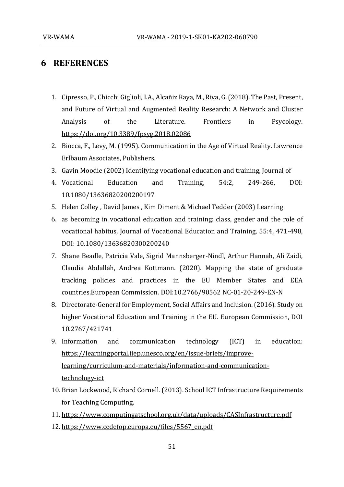## <span id="page-50-0"></span>**6 REFERENCES**

- 1. Cipresso, P., Chicchi Giglioli, I.A., Alcañiz Raya, M., Riva, G. (2018). The Past, Present, and Future of Virtual and Augmented Reality Research: A Network and Cluster Analysis of the Literature. Frontiers in Psycology. <https://doi.org/10.3389/fpsyg.2018.02086>
- 2. Biocca, F., Levy, M. (1995). Communication in the Age of Virtual Reality. Lawrence Erlbaum Associates, Publishers.
- 3. Gavin Moodie (2002) Identifying vocational education and training, Journal of
- 4. Vocational Education and Training, 54:2, 249-266, DOI: 10.1080/13636820200200197
- 5. Helen Colley , David James , Kim Diment & Michael Tedder (2003) Learning
- 6. as becoming in vocational education and training: class, gender and the role of vocational habitus, Journal of Vocational Education and Training, 55:4, 471-498, DOI: 10.1080/13636820300200240
- 7. Shane Beadle, Patricia Vale, Sigrid Mannsberger-Nindl, Arthur Hannah, Ali Zaidi, Claudia Abdallah, Andrea Kottmann. (2020). Mapping the state of graduate tracking policies and practices in the EU Member States and EEA countries.European Commission. DOI:10.2766/90562 NC-01-20-249-EN-N
- 8. Directorate-General for Employment, Social Affairs and Inclusion. (2016). Study on higher Vocational Education and Training in the EU. European Commission, DOI 10.2767/421741
- 9. Information and communication technology (ICT) in education: [https://learningportal.iiep.unesco.org/en/issue-briefs/improve](https://learningportal.iiep.unesco.org/en/issue-briefs/improve-learning/curriculum-and-materials/information-and-communication-technology-ict)[learning/curriculum-and-materials/information-and-communication](https://learningportal.iiep.unesco.org/en/issue-briefs/improve-learning/curriculum-and-materials/information-and-communication-technology-ict)[technology-ict](https://learningportal.iiep.unesco.org/en/issue-briefs/improve-learning/curriculum-and-materials/information-and-communication-technology-ict)
- 10. Brian Lockwood, Richard Cornell. (2013). School ICT Infrastructure Requirements for Teaching Computing.
- 11. <https://www.computingatschool.org.uk/data/uploads/CASInfrastructure.pdf>
- 12. [https://www.cedefop.europa.eu/files/5567\\_en.pdf](https://www.cedefop.europa.eu/files/5567_en.pdf)